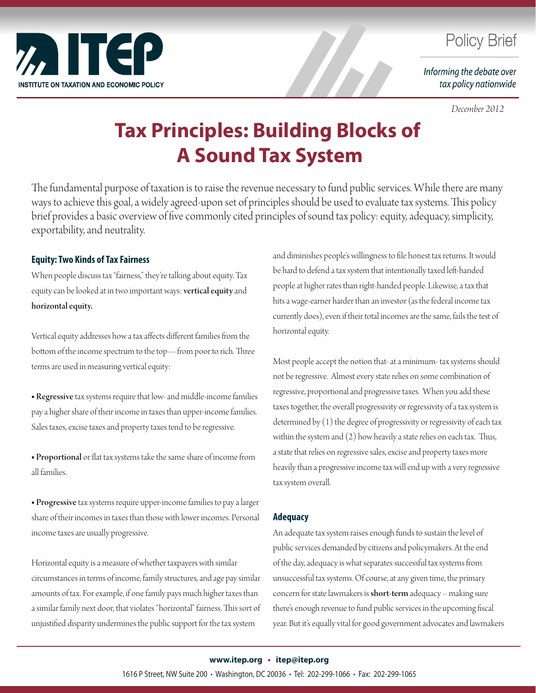

# **Policy Brief**

Informing the debate over tax policy nationwide

 *December 2012*

# **Tax Principles: Building Blocks of A Sound Tax System**

The fundamental purpose of taxation is to raise the revenue necessary to fund public services. While there are many ways to achieve this goal, a widely agreed-upon set of principles should be used to evaluate tax systems. This policy brief provides a basic overview of five commonly cited principles of sound tax policy: equity, adequacy, simplicity, exportability, and neutrality.

## **Equity: Two Kinds of Tax Fairness**

When people discuss tax "fairness," they're talking about equity. Tax equity can be looked at in two important ways: vertical equity and horizontal equity.

Vertical equity addresses how a tax affects different families from the bottom of the income spectrum to the top—from poor to rich. Three terms are used in measuring vertical equity:

■ Regressive tax systems require that low- and middle-income families pay a higher share of their income in taxes than upper-income families. Sales taxes, excise taxes and property taxes tend to be regressive.

■ Proportional or flat tax systems take the same share of income from all families.

■ Progressive tax systems require upper-income families to pay a larger share of their incomes in taxes than those with lower incomes. Personal income taxes are usually progressive.

Horizontal equity is a measure of whether taxpayers with similar circumstances in terms of income, family structures, and age pay similar amounts of tax. For example, if one family pays much higher taxes than a similar family next door, that violates "horizontal" fairness. This sort of unjustified disparity undermines the public support for the tax system

and diminishes people's willingness to file honest tax returns. It would be hard to defend a tax system that intentionally taxed left-handed people at higher rates than right-handed people. Likewise, a tax that hits a wage-earner harder than an investor (as the federal income tax currently does), even if their total incomes are the same, fails the test of horizontal equity.

Most people accept the notion that- at a minimum- tax systems should not be regressive. Almost every state relies on some combination of regressive, proportional and progressive taxes. When you add these taxes together, the overall progressivity or regressivity of a tax system is determined by (1) the degree of progressivity or regressivity of each tax within the system and (2) how heavily a state relies on each tax. Thus, a state that relies on regressive sales, excise and property taxes more heavily than a progressive income tax will end up with a very regressive tax system overall.

### **Adequacy**

An adequate tax system raises enough funds to sustain the level of public services demanded by citizens and policymakers. At the end of the day, adequacy is what separates successful tax systems from unsuccessful tax systems. Of course, at any given time, the primary concern for state lawmakers is short-term adequacy – making sure there's enough revenue to fund public services in the upcoming fiscal year. But it's equally vital for good government advocates and lawmakers